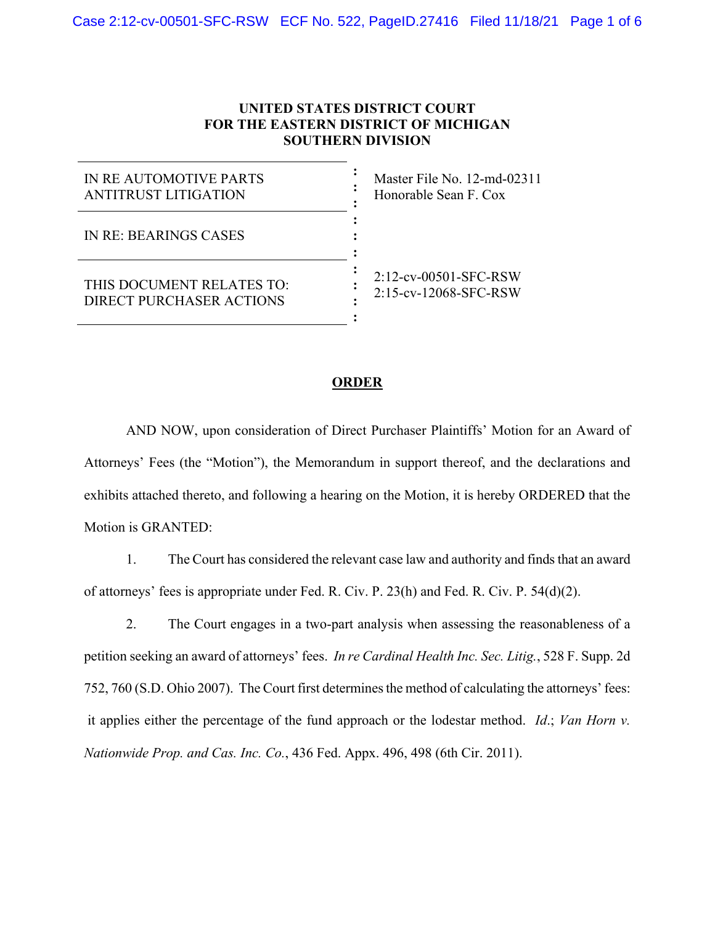## **UNITED STATES DISTRICT COURT FOR THE EASTERN DISTRICT OF MICHIGAN SOUTHERN DIVISION**

| IN RE AUTOMOTIVE PARTS<br>ANTITRUST LITIGATION        | Master File No. 12-md-02311<br>Honorable Sean F. Cox |
|-------------------------------------------------------|------------------------------------------------------|
| IN RE: BEARINGS CASES                                 |                                                      |
| THIS DOCUMENT RELATES TO:<br>DIRECT PURCHASER ACTIONS | 2:12-cv-00501-SFC-RSW<br>2:15-cv-12068-SFC-RSW       |

## **ORDER**

AND NOW, upon consideration of Direct Purchaser Plaintiffs' Motion for an Award of Attorneys' Fees (the "Motion"), the Memorandum in support thereof, and the declarations and exhibits attached thereto, and following a hearing on the Motion, it is hereby ORDERED that the Motion is GRANTED:

1. The Court has considered the relevant case law and authority and finds that an award of attorneys' fees is appropriate under Fed. R. Civ. P. 23(h) and Fed. R. Civ. P. 54(d)(2).

2. The Court engages in a two-part analysis when assessing the reasonableness of a petition seeking an award of attorneys' fees. *In re Cardinal Health Inc. Sec. Litig.*, 528 F. Supp. 2d 752, 760 (S.D. Ohio 2007). The Court first determines the method of calculating the attorneys' fees: it applies either the percentage of the fund approach or the lodestar method. *Id*.; *Van Horn v. Nationwide Prop. and Cas. Inc. Co.*, 436 Fed. Appx. 496, 498 (6th Cir. 2011).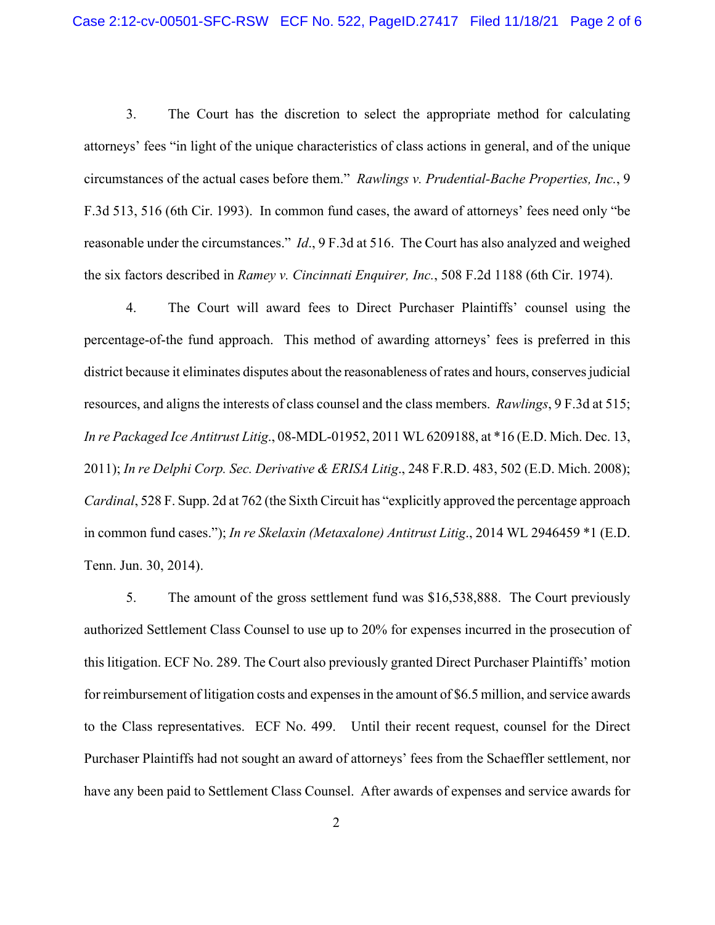3. The Court has the discretion to select the appropriate method for calculating attorneys' fees "in light of the unique characteristics of class actions in general, and of the unique circumstances of the actual cases before them." *Rawlings v. Prudential-Bache Properties, Inc.*, 9 F.3d 513, 516 (6th Cir. 1993). In common fund cases, the award of attorneys' fees need only "be reasonable under the circumstances." *Id*., 9 F.3d at 516. The Court has also analyzed and weighed the six factors described in *Ramey v. Cincinnati Enquirer, Inc.*, 508 F.2d 1188 (6th Cir. 1974).

4. The Court will award fees to Direct Purchaser Plaintiffs' counsel using the percentage-of-the fund approach. This method of awarding attorneys' fees is preferred in this district because it eliminates disputes about the reasonableness of rates and hours, conserves judicial resources, and aligns the interests of class counsel and the class members. *Rawlings*, 9 F.3d at 515; *In re Packaged Ice Antitrust Litig*., 08-MDL-01952, 2011 WL 6209188, at \*16 (E.D. Mich. Dec. 13, 2011); *In re Delphi Corp. Sec. Derivative & ERISA Litig*., 248 F.R.D. 483, 502 (E.D. Mich. 2008); *Cardinal*, 528 F. Supp. 2d at 762 (the Sixth Circuit has "explicitly approved the percentage approach in common fund cases."); *In re Skelaxin (Metaxalone) Antitrust Litig*., 2014 WL 2946459 \*1 (E.D. Tenn. Jun. 30, 2014).

5. The amount of the gross settlement fund was \$16,538,888. The Court previously authorized Settlement Class Counsel to use up to 20% for expenses incurred in the prosecution of this litigation. ECF No. 289. The Court also previously granted Direct Purchaser Plaintiffs' motion for reimbursement of litigation costs and expenses in the amount of \$6.5 million, and service awards to the Class representatives. ECF No. 499. Until their recent request, counsel for the Direct Purchaser Plaintiffs had not sought an award of attorneys' fees from the Schaeffler settlement, nor have any been paid to Settlement Class Counsel. After awards of expenses and service awards for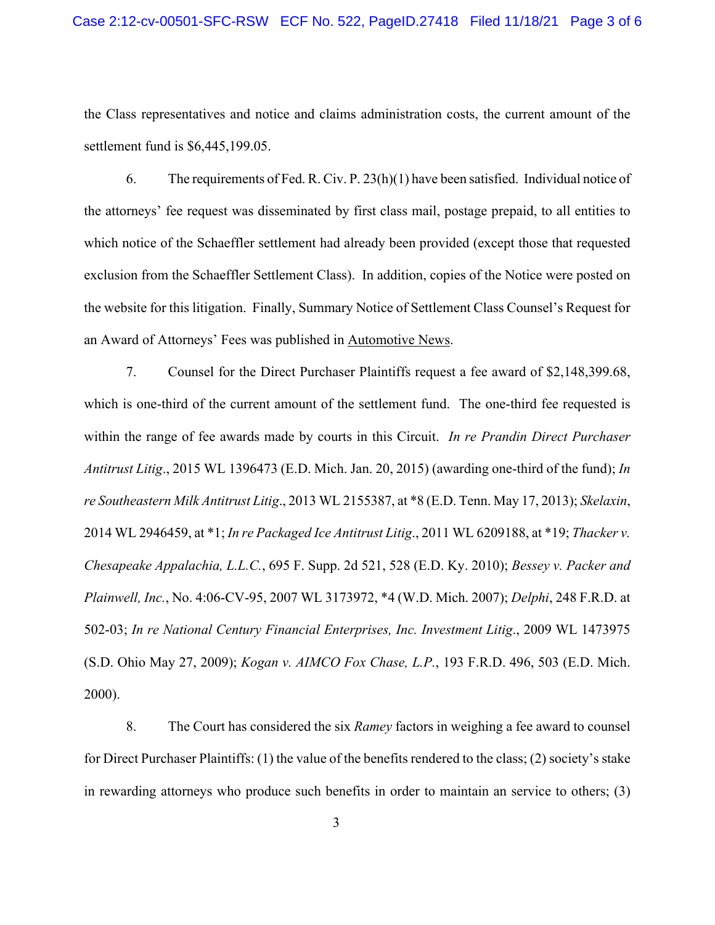## Case 2:12-cv-00501-SFC-RSW ECF No. 522, PageID.27418 Filed 11/18/21 Page 3 of 6

the Class representatives and notice and claims administration costs, the current amount of the settlement fund is \$6,445,199.05.

6. The requirements of Fed. R. Civ. P. 23(h)(1) have been satisfied. Individual notice of the attorneys' fee request was disseminated by first class mail, postage prepaid, to all entities to which notice of the Schaeffler settlement had already been provided (except those that requested exclusion from the Schaeffler Settlement Class). In addition, copies of the Notice were posted on the website for this litigation. Finally, Summary Notice of Settlement Class Counsel's Request for an Award of Attorneys' Fees was published in Automotive News.

7. Counsel for the Direct Purchaser Plaintiffs request a fee award of \$2,148,399.68, which is one-third of the current amount of the settlement fund. The one-third fee requested is within the range of fee awards made by courts in this Circuit. *In re Prandin Direct Purchaser Antitrust Litig*., 2015 WL 1396473 (E.D. Mich. Jan. 20, 2015) (awarding one-third of the fund); *In re Southeastern Milk Antitrust Litig*., 2013 WL 2155387, at \*8 (E.D. Tenn. May 17, 2013); *Skelaxin*, 2014 WL 2946459, at \*1; *In re Packaged Ice Antitrust Litig*., 2011 WL 6209188, at \*19; *Thacker v. Chesapeake Appalachia, L.L.C.*, 695 F. Supp. 2d 521, 528 (E.D. Ky. 2010); *Bessey v. Packer and Plainwell, Inc.*, No. 4:06-CV-95, 2007 WL 3173972, \*4 (W.D. Mich. 2007); *Delphi*, 248 F.R.D. at 502-03; *In re National Century Financial Enterprises, Inc. Investment Litig*., 2009 WL 1473975 (S.D. Ohio May 27, 2009); *Kogan v. AIMCO Fox Chase, L.P.*, 193 F.R.D. 496, 503 (E.D. Mich. 2000).

8. The Court has considered the six *Ramey* factors in weighing a fee award to counsel for Direct Purchaser Plaintiffs: (1) the value of the benefits rendered to the class; (2) society's stake in rewarding attorneys who produce such benefits in order to maintain an service to others; (3)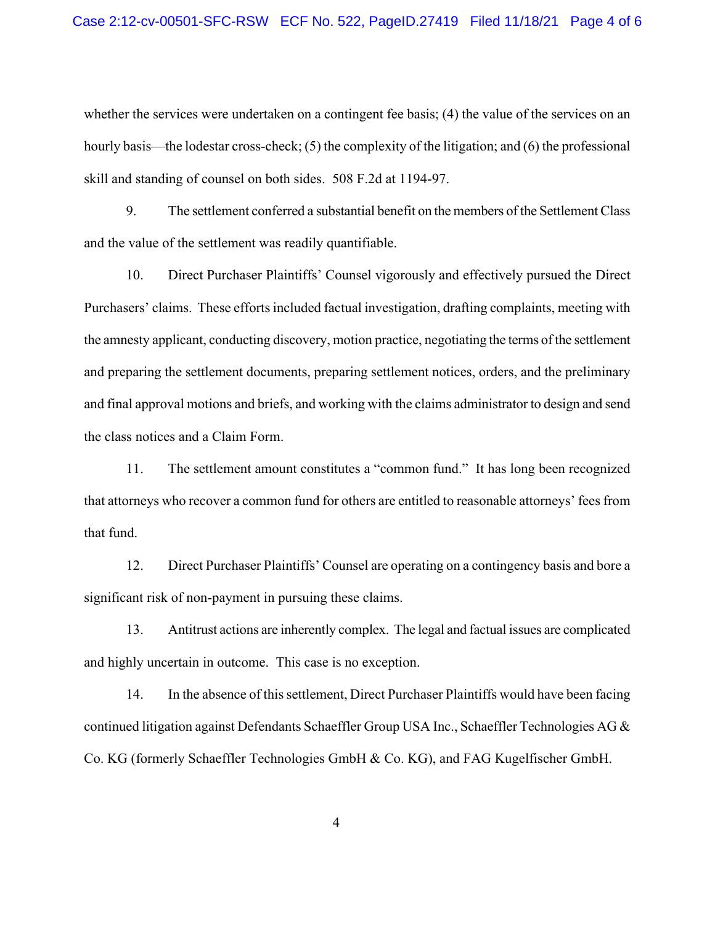whether the services were undertaken on a contingent fee basis; (4) the value of the services on an hourly basis—the lodestar cross-check; (5) the complexity of the litigation; and (6) the professional skill and standing of counsel on both sides. 508 F.2d at 1194-97.

9. The settlement conferred a substantial benefit on the members of the Settlement Class and the value of the settlement was readily quantifiable.

10. Direct Purchaser Plaintiffs' Counsel vigorously and effectively pursued the Direct Purchasers' claims. These efforts included factual investigation, drafting complaints, meeting with the amnesty applicant, conducting discovery, motion practice, negotiating the terms of the settlement and preparing the settlement documents, preparing settlement notices, orders, and the preliminary and final approval motions and briefs, and working with the claims administrator to design and send the class notices and a Claim Form.

11. The settlement amount constitutes a "common fund." It has long been recognized that attorneys who recover a common fund for others are entitled to reasonable attorneys' fees from that fund.

12. Direct Purchaser Plaintiffs' Counsel are operating on a contingency basis and bore a significant risk of non-payment in pursuing these claims.

13. Antitrust actions are inherently complex. The legal and factual issues are complicated and highly uncertain in outcome. This case is no exception.

14. In the absence of this settlement, Direct Purchaser Plaintiffs would have been facing continued litigation against Defendants Schaeffler Group USA Inc., Schaeffler Technologies AG & Co. KG (formerly Schaeffler Technologies GmbH & Co. KG), and FAG Kugelfischer GmbH.

4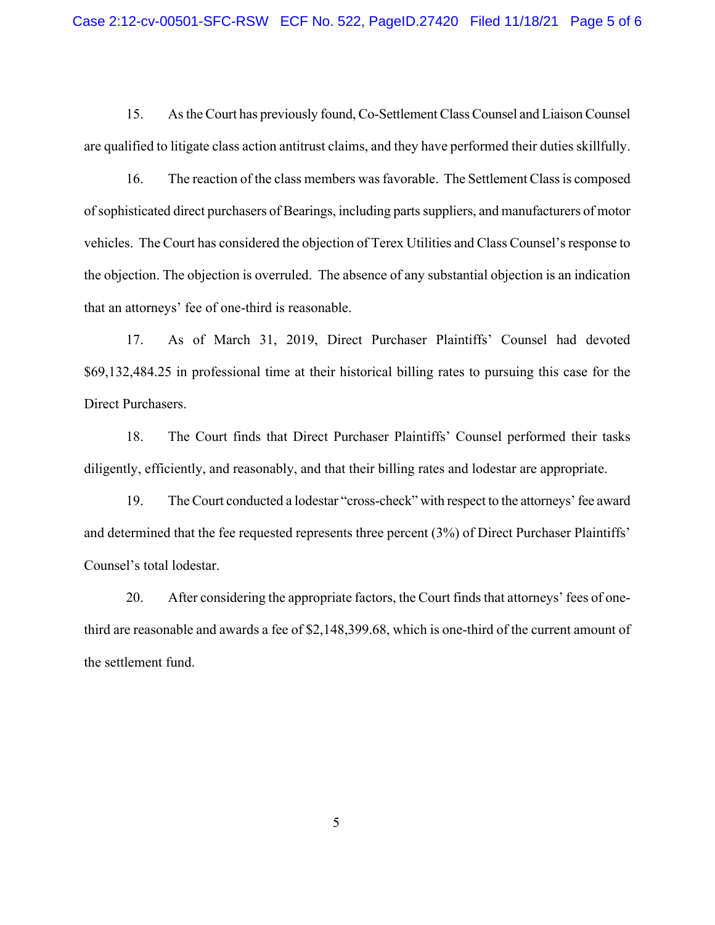15. As the Court has previously found, Co-Settlement Class Counsel and Liaison Counsel are qualified to litigate class action antitrust claims, and they have performed their duties skillfully.

16. The reaction of the class members was favorable. The Settlement Class is composed of sophisticated direct purchasers of Bearings, including parts suppliers, and manufacturers of motor vehicles. The Court has considered the objection of Terex Utilities and Class Counsel's response to the objection. The objection is overruled. The absence of any substantial objection is an indication that an attorneys' fee of one-third is reasonable.

17. As of March 31, 2019, Direct Purchaser Plaintiffs' Counsel had devoted \$69,132,484.25 in professional time at their historical billing rates to pursuing this case for the Direct Purchasers.

18. The Court finds that Direct Purchaser Plaintiffs' Counsel performed their tasks diligently, efficiently, and reasonably, and that their billing rates and lodestar are appropriate.

19. The Court conducted a lodestar "cross-check" with respect to the attorneys' fee award and determined that the fee requested represents three percent (3%) of Direct Purchaser Plaintiffs' Counsel's total lodestar.

20. After considering the appropriate factors, the Court finds that attorneys' fees of onethird are reasonable and awards a fee of \$2,148,399.68, which is one-third of the current amount of the settlement fund.

5